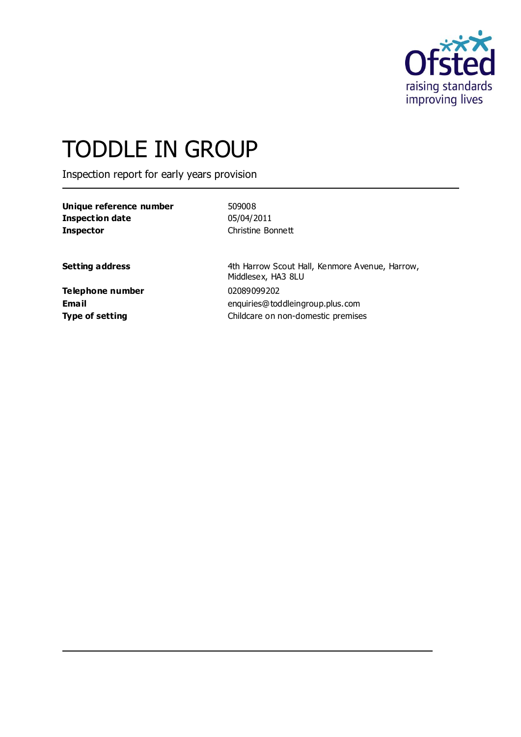

# TODDLE IN GROUP

Inspection report for early years provision

| Unique reference number | 509008            |
|-------------------------|-------------------|
| Inspection date         | 05/04/2011        |
| <b>Inspector</b>        | Christine Bonnett |

**Setting address** 4th Harrow Scout Hall, Kenmore Avenue, Harrow, Middlesex, HA3 8LU **Email** enquiries@toddleingroup.plus.com **Type of setting** Childcare on non-domestic premises

**Telephone number** 02089099202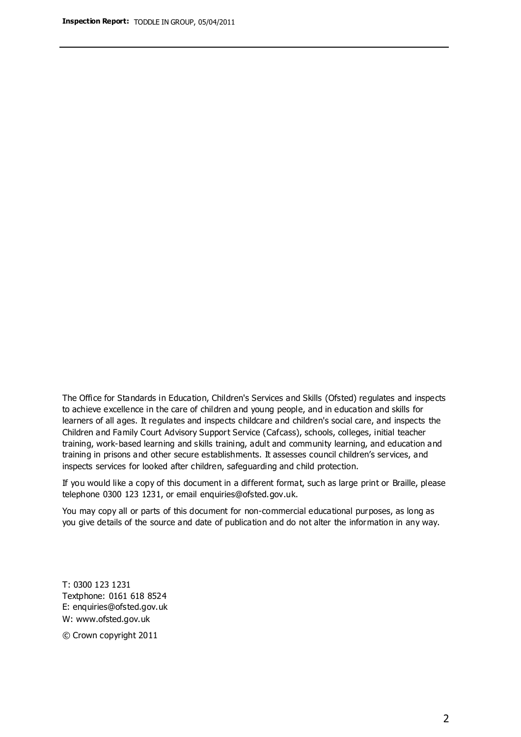The Office for Standards in Education, Children's Services and Skills (Ofsted) regulates and inspects to achieve excellence in the care of children and young people, and in education and skills for learners of all ages. It regulates and inspects childcare and children's social care, and inspects the Children and Family Court Advisory Support Service (Cafcass), schools, colleges, initial teacher training, work-based learning and skills training, adult and community learning, and education and training in prisons and other secure establishments. It assesses council children's services, and inspects services for looked after children, safeguarding and child protection.

If you would like a copy of this document in a different format, such as large print or Braille, please telephone 0300 123 1231, or email enquiries@ofsted.gov.uk.

You may copy all or parts of this document for non-commercial educational purposes, as long as you give details of the source and date of publication and do not alter the information in any way.

T: 0300 123 1231 Textphone: 0161 618 8524 E: enquiries@ofsted.gov.uk W: [www.ofsted.gov.uk](http://www.ofsted.gov.uk/)

© Crown copyright 2011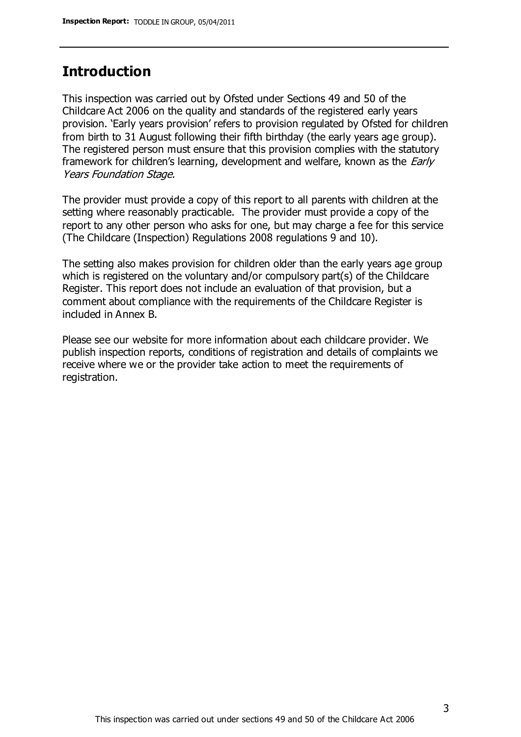## **Introduction**

This inspection was carried out by Ofsted under Sections 49 and 50 of the Childcare Act 2006 on the quality and standards of the registered early years provision. 'Early years provision' refers to provision regulated by Ofsted for children from birth to 31 August following their fifth birthday (the early years age group). The registered person must ensure that this provision complies with the statutory framework for children's learning, development and welfare, known as the *Early* Years Foundation Stage.

The provider must provide a copy of this report to all parents with children at the setting where reasonably practicable. The provider must provide a copy of the report to any other person who asks for one, but may charge a fee for this service (The Childcare (Inspection) Regulations 2008 regulations 9 and 10).

The setting also makes provision for children older than the early years age group which is registered on the voluntary and/or compulsory part(s) of the Childcare Register. This report does not include an evaluation of that provision, but a comment about compliance with the requirements of the Childcare Register is included in Annex B.

Please see our website for more information about each childcare provider. We publish inspection reports, conditions of registration and details of complaints we receive where we or the provider take action to meet the requirements of registration.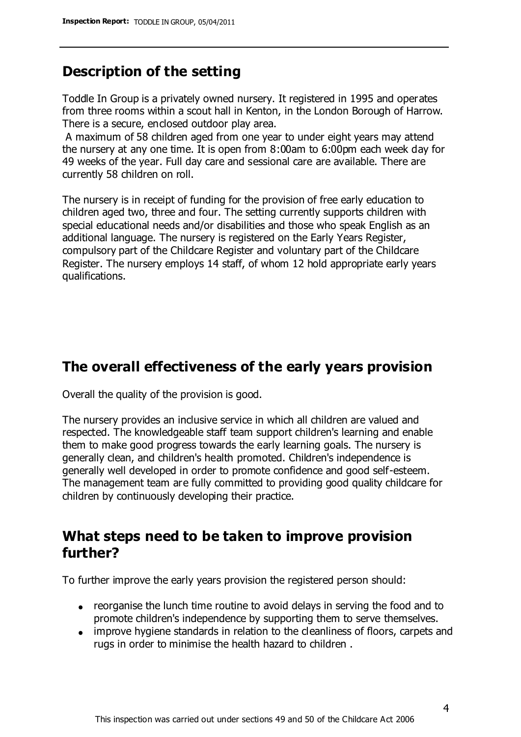## **Description of the setting**

Toddle In Group is a privately owned nursery. It registered in 1995 and operates from three rooms within a scout hall in Kenton, in the London Borough of Harrow. There is a secure, enclosed outdoor play area.

A maximum of 58 children aged from one year to under eight years may attend the nursery at any one time. It is open from 8:00am to 6:00pm each week day for 49 weeks of the year. Full day care and sessional care are available. There are currently 58 children on roll.

The nursery is in receipt of funding for the provision of free early education to children aged two, three and four. The setting currently supports children with special educational needs and/or disabilities and those who speak English as an additional language. The nursery is registered on the Early Years Register, compulsory part of the Childcare Register and voluntary part of the Childcare Register. The nursery employs 14 staff, of whom 12 hold appropriate early years qualifications.

## **The overall effectiveness of the early years provision**

Overall the quality of the provision is good.

The nursery provides an inclusive service in which all children are valued and respected. The knowledgeable staff team support children's learning and enable them to make good progress towards the early learning goals. The nursery is generally clean, and children's health promoted. Children's independence is generally well developed in order to promote confidence and good self-esteem. The management team are fully committed to providing good quality childcare for children by continuously developing their practice.

## **What steps need to be taken to improve provision further?**

To further improve the early years provision the registered person should:

- reorganise the lunch time routine to avoid delays in serving the food and to promote children's independence by supporting them to serve themselves.
- improve hygiene standards in relation to the cleanliness of floors, carpets and rugs in order to minimise the health hazard to children .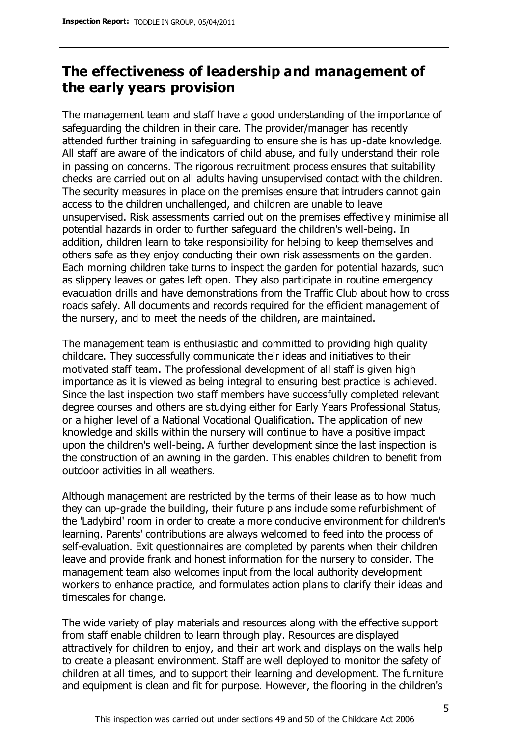# **The effectiveness of leadership and management of the early years provision**

The management team and staff have a good understanding of the importance of safeguarding the children in their care. The provider/manager has recently attended further training in safeguarding to ensure she is has up-date knowledge. All staff are aware of the indicators of child abuse, and fully understand their role in passing on concerns. The rigorous recruitment process ensures that suitability checks are carried out on all adults having unsupervised contact with the children. The security measures in place on the premises ensure that intruders cannot gain access to the children unchallenged, and children are unable to leave unsupervised. Risk assessments carried out on the premises effectively minimise all potential hazards in order to further safeguard the children's well-being. In addition, children learn to take responsibility for helping to keep themselves and others safe as they enjoy conducting their own risk assessments on the garden. Each morning children take turns to inspect the garden for potential hazards, such as slippery leaves or gates left open. They also participate in routine emergency evacuation drills and have demonstrations from the Traffic Club about how to cross roads safely. All documents and records required for the efficient management of the nursery, and to meet the needs of the children, are maintained.

The management team is enthusiastic and committed to providing high quality childcare. They successfully communicate their ideas and initiatives to their motivated staff team. The professional development of all staff is given high importance as it is viewed as being integral to ensuring best practice is achieved. Since the last inspection two staff members have successfully completed relevant degree courses and others are studying either for Early Years Professional Status, or a higher level of a National Vocational Qualification. The application of new knowledge and skills within the nursery will continue to have a positive impact upon the children's well-being. A further development since the last inspection is the construction of an awning in the garden. This enables children to benefit from outdoor activities in all weathers.

Although management are restricted by the terms of their lease as to how much they can up-grade the building, their future plans include some refurbishment of the 'Ladybird' room in order to create a more conducive environment for children's learning. Parents' contributions are always welcomed to feed into the process of self-evaluation. Exit questionnaires are completed by parents when their children leave and provide frank and honest information for the nursery to consider. The management team also welcomes input from the local authority development workers to enhance practice, and formulates action plans to clarify their ideas and timescales for change.

The wide variety of play materials and resources along with the effective support from staff enable children to learn through play. Resources are displayed attractively for children to enjoy, and their art work and displays on the walls help to create a pleasant environment. Staff are well deployed to monitor the safety of children at all times, and to support their learning and development. The furniture and equipment is clean and fit for purpose. However, the flooring in the children's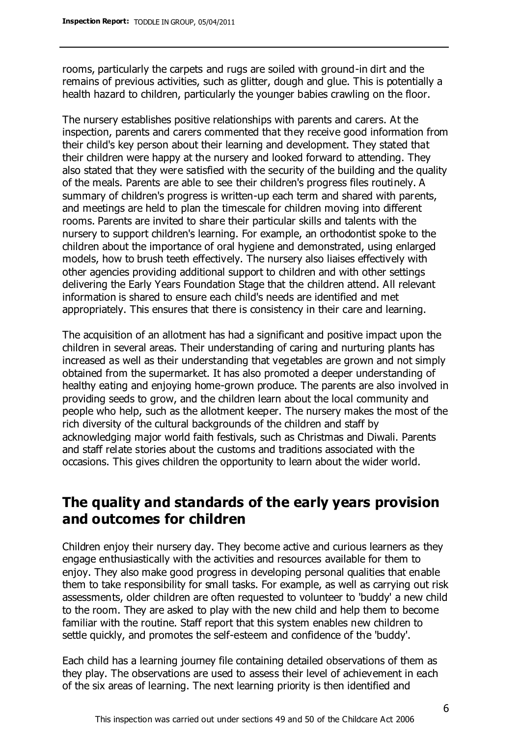rooms, particularly the carpets and rugs are soiled with ground-in dirt and the remains of previous activities, such as glitter, dough and glue. This is potentially a health hazard to children, particularly the younger babies crawling on the floor.

The nursery establishes positive relationships with parents and carers. At the inspection, parents and carers commented that they receive good information from their child's key person about their learning and development. They stated that their children were happy at the nursery and looked forward to attending. They also stated that they were satisfied with the security of the building and the quality of the meals. Parents are able to see their children's progress files routinely. A summary of children's progress is written-up each term and shared with parents, and meetings are held to plan the timescale for children moving into different rooms. Parents are invited to share their particular skills and talents with the nursery to support children's learning. For example, an orthodontist spoke to the children about the importance of oral hygiene and demonstrated, using enlarged models, how to brush teeth effectively. The nursery also liaises effectively with other agencies providing additional support to children and with other settings delivering the Early Years Foundation Stage that the children attend. All relevant information is shared to ensure each child's needs are identified and met appropriately. This ensures that there is consistency in their care and learning.

The acquisition of an allotment has had a significant and positive impact upon the children in several areas. Their understanding of caring and nurturing plants has increased as well as their understanding that vegetables are grown and not simply obtained from the supermarket. It has also promoted a deeper understanding of healthy eating and enjoying home-grown produce. The parents are also involved in providing seeds to grow, and the children learn about the local community and people who help, such as the allotment keeper. The nursery makes the most of the rich diversity of the cultural backgrounds of the children and staff by acknowledging major world faith festivals, such as Christmas and Diwali. Parents and staff relate stories about the customs and traditions associated with the occasions. This gives children the opportunity to learn about the wider world.

# **The quality and standards of the early years provision and outcomes for children**

Children enjoy their nursery day. They become active and curious learners as they engage enthusiastically with the activities and resources available for them to enjoy. They also make good progress in developing personal qualities that enable them to take responsibility for small tasks. For example, as well as carrying out risk assessments, older children are often requested to volunteer to 'buddy' a new child to the room. They are asked to play with the new child and help them to become familiar with the routine. Staff report that this system enables new children to settle quickly, and promotes the self-esteem and confidence of the 'buddy'.

Each child has a learning journey file containing detailed observations of them as they play. The observations are used to assess their level of achievement in each of the six areas of learning. The next learning priority is then identified and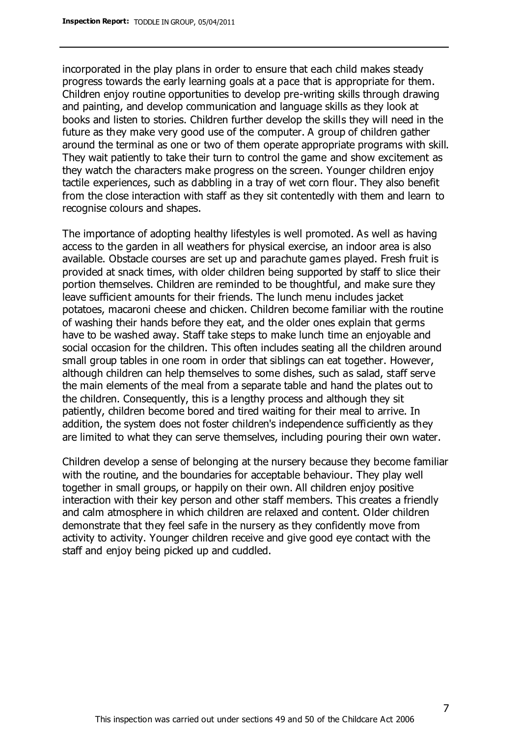incorporated in the play plans in order to ensure that each child makes steady progress towards the early learning goals at a pace that is appropriate for them. Children enjoy routine opportunities to develop pre-writing skills through drawing and painting, and develop communication and language skills as they look at books and listen to stories. Children further develop the skills they will need in the future as they make very good use of the computer. A group of children gather around the terminal as one or two of them operate appropriate programs with skill. They wait patiently to take their turn to control the game and show excitement as they watch the characters make progress on the screen. Younger children enjoy tactile experiences, such as dabbling in a tray of wet corn flour. They also benefit from the close interaction with staff as they sit contentedly with them and learn to recognise colours and shapes.

The importance of adopting healthy lifestyles is well promoted. As well as having access to the garden in all weathers for physical exercise, an indoor area is also available. Obstacle courses are set up and parachute games played. Fresh fruit is provided at snack times, with older children being supported by staff to slice their portion themselves. Children are reminded to be thoughtful, and make sure they leave sufficient amounts for their friends. The lunch menu includes jacket potatoes, macaroni cheese and chicken. Children become familiar with the routine of washing their hands before they eat, and the older ones explain that germs have to be washed away. Staff take steps to make lunch time an enjoyable and social occasion for the children. This often includes seating all the children around small group tables in one room in order that siblings can eat together. However, although children can help themselves to some dishes, such as salad, staff serve the main elements of the meal from a separate table and hand the plates out to the children. Consequently, this is a lengthy process and although they sit patiently, children become bored and tired waiting for their meal to arrive. In addition, the system does not foster children's independence sufficiently as they are limited to what they can serve themselves, including pouring their own water.

Children develop a sense of belonging at the nursery because they become familiar with the routine, and the boundaries for acceptable behaviour. They play well together in small groups, or happily on their own. All children enjoy positive interaction with their key person and other staff members. This creates a friendly and calm atmosphere in which children are relaxed and content. Older children demonstrate that they feel safe in the nursery as they confidently move from activity to activity. Younger children receive and give good eye contact with the staff and enjoy being picked up and cuddled.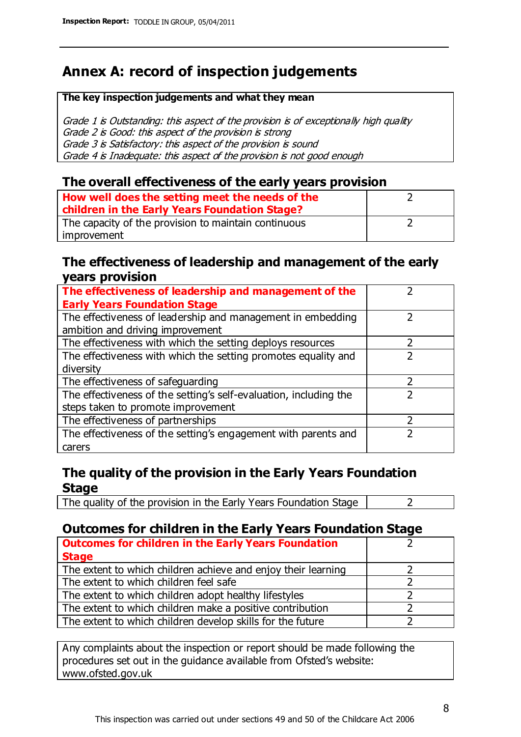# **Annex A: record of inspection judgements**

#### **The key inspection judgements and what they mean**

Grade 1 is Outstanding: this aspect of the provision is of exceptionally high quality Grade 2 is Good: this aspect of the provision is strong Grade 3 is Satisfactory: this aspect of the provision is sound Grade 4 is Inadequate: this aspect of the provision is not good enough

#### **The overall effectiveness of the early years provision**

| How well does the setting meet the needs of the<br>children in the Early Years Foundation Stage? |  |
|--------------------------------------------------------------------------------------------------|--|
| The capacity of the provision to maintain continuous                                             |  |
| improvement                                                                                      |  |

#### **The effectiveness of leadership and management of the early years provision**

| The effectiveness of leadership and management of the             |  |
|-------------------------------------------------------------------|--|
| <b>Early Years Foundation Stage</b>                               |  |
| The effectiveness of leadership and management in embedding       |  |
| ambition and driving improvement                                  |  |
| The effectiveness with which the setting deploys resources        |  |
| The effectiveness with which the setting promotes equality and    |  |
| diversity                                                         |  |
| The effectiveness of safeguarding                                 |  |
| The effectiveness of the setting's self-evaluation, including the |  |
| steps taken to promote improvement                                |  |
| The effectiveness of partnerships                                 |  |
| The effectiveness of the setting's engagement with parents and    |  |
| carers                                                            |  |

## **The quality of the provision in the Early Years Foundation Stage**

The quality of the provision in the Early Years Foundation Stage  $\vert$  2

## **Outcomes for children in the Early Years Foundation Stage**

| <b>Outcomes for children in the Early Years Foundation</b>    |  |
|---------------------------------------------------------------|--|
| <b>Stage</b>                                                  |  |
| The extent to which children achieve and enjoy their learning |  |
| The extent to which children feel safe                        |  |
| The extent to which children adopt healthy lifestyles         |  |
| The extent to which children make a positive contribution     |  |
| The extent to which children develop skills for the future    |  |

Any complaints about the inspection or report should be made following the procedures set out in the guidance available from Ofsted's website: www.ofsted.gov.uk